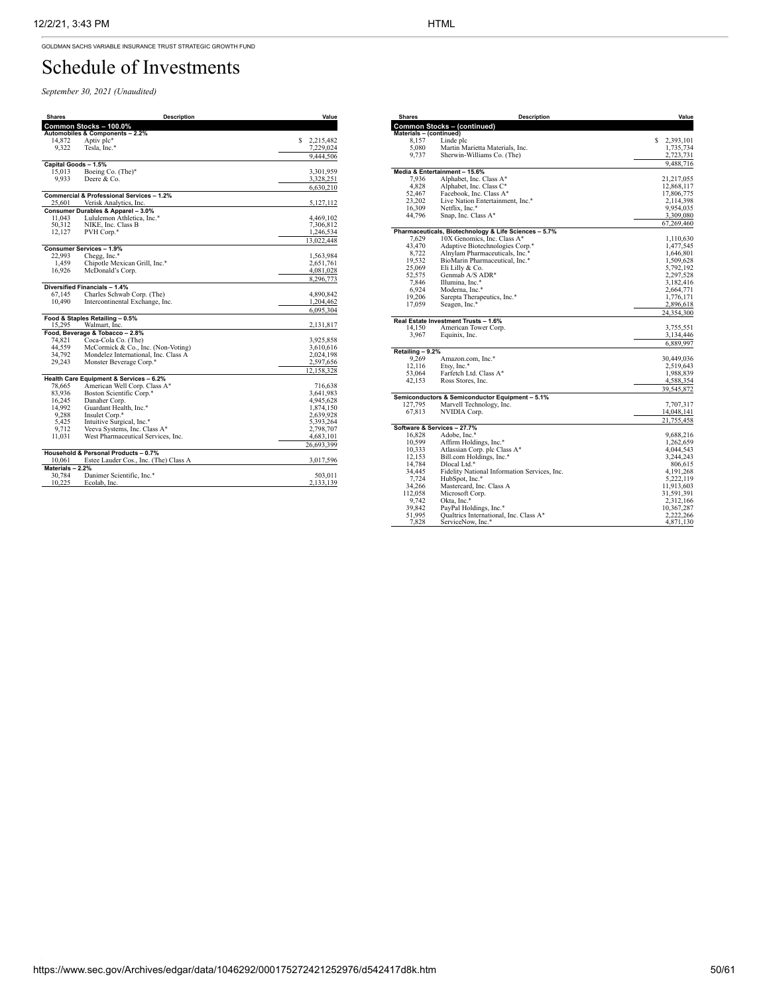GOLDMAN SACHS VARIABLE INSURANCE TRUST STRATEGIC GROWTH FUND

## Schedule of Investments

*September 30, 2021 (Unaudited)*

| <b>Shares</b>              | <b>Description</b>                        | Value                  |
|----------------------------|-------------------------------------------|------------------------|
|                            | Common Stocks - 100.0%                    |                        |
|                            | Automobiles & Components - 2.2%           |                        |
| 14,872                     | Aptiv plc*                                | S.<br>2,215,482        |
| 9.322                      | Tesla, Inc.*                              | 7,229,024              |
|                            |                                           | 9,444,506              |
| Capital Goods - 1.5%       |                                           |                        |
| 15,013                     | Boeing Co. (The)*                         | 3,301,959              |
| 9.933                      | Deere & Co.                               | 3,328,251              |
|                            |                                           | 6,630,210              |
|                            | Commercial & Professional Services - 1.2% |                        |
| 25.601                     | Verisk Analytics, Inc.                    | 5,127,112              |
|                            | Consumer Durables & Apparel - 3.0%        |                        |
| 11.043                     | Lululemon Athletica, Inc.*                | 4,469,102              |
| 50.312<br>12,127           | NIKE, Inc. Class B<br>PVH Corp.*          | 7,306,812<br>1,246,534 |
|                            |                                           |                        |
|                            |                                           | 13,022,448             |
| 22,993                     | Consumer Services - 1.9%<br>Chegg, Inc.*  | 1,563,984              |
| 1.459                      | Chipotle Mexican Grill, Inc.*             | 2,651,761              |
| 16,926                     | McDonald's Corp.                          | 4,081,028              |
|                            |                                           | 8,296,773              |
|                            | Diversified Financials - 1.4%             |                        |
| 67.145                     | Charles Schwab Corp. (The)                | 4,890,842              |
| 10,490                     | Intercontinental Exchange, Inc.           | 1,204,462              |
|                            |                                           | 6,095,304              |
|                            | Food & Staples Retailing - 0.5%           |                        |
| 15,295                     | Walmart, Inc.                             | 2,131,817              |
|                            | Food, Beverage & Tobacco - 2.8%           |                        |
| 74,821                     | Coca-Cola Co. (The)                       | 3,925,858              |
| 44.559                     | McCormick & Co., Inc. (Non-Voting)        | 3,610,616              |
| 34,792                     | Mondelez International, Inc. Class A      | 2,024,198              |
| 29,243                     | Monster Beverage Corp.*                   | 2,597,656              |
|                            |                                           | 12,158,328             |
|                            | Health Care Equipment & Services - 6.2%   |                        |
| 78,665                     | American Well Corp. Class A*              | 716,638                |
| 83.936                     | Boston Scientific Corp.*                  | 3.641.983              |
| 16,245                     | Danaher Corp.                             | 4,945,628              |
| 14,992                     | Guardant Health, Inc.*                    | 1,874,150              |
| 9.288                      | Insulet Corp.*                            | 2,639,928              |
| 5,425                      | Intuitive Surgical, Inc.*                 | 5,393,264              |
| 9,712                      | Veeva Systems, Inc. Class A*              | 2,798,707              |
| 11,031                     | West Pharmaceutical Services, Inc.        | 4,683,101              |
|                            |                                           | 26,693,399             |
|                            | Household & Personal Products - 0.7%      |                        |
| 10.061                     | Estee Lauder Cos., Inc. (The) Class A     | 3,017,596              |
| Materials - 2.2%<br>30.784 | Danimer Scientific, Inc.*                 | 503.011                |
| 10,225                     | Ecolab, Inc.                              | 2,133,139              |
|                            |                                           |                        |

| <b>Shares</b>               | <b>Description</b>                                    | Value       |  |  |
|-----------------------------|-------------------------------------------------------|-------------|--|--|
|                             | <b>Common Stocks - (continued)</b>                    |             |  |  |
|                             |                                                       |             |  |  |
| Materials - (continued)     |                                                       | \$2,393,101 |  |  |
| 8,157                       | Linde plc                                             |             |  |  |
| 5,080                       | Martin Marietta Materials, Inc.                       | 1,735,734   |  |  |
| 9,737                       | Sherwin-Williams Co. (The)                            | 2,723,731   |  |  |
|                             |                                                       | 9,488,716   |  |  |
|                             | Media & Entertainment - 15.6%                         |             |  |  |
| 7.936                       | Alphabet, Inc. Class A*                               | 21,217,055  |  |  |
| 4.828                       | Alphabet, Inc. Class C*                               | 12,868,117  |  |  |
| 52,467                      | Facebook, Inc. Class A*                               | 17,806,775  |  |  |
| 23,202                      | Live Nation Entertainment, Inc.*                      | 2,114,398   |  |  |
| 16,309                      | Netflix, Inc.*                                        | 9,954,035   |  |  |
| 44,796                      | Snap, Inc. Class A*                                   | 3,309,080   |  |  |
|                             |                                                       | 67,269,460  |  |  |
|                             | Pharmaceuticals, Biotechnology & Life Sciences - 5.7% |             |  |  |
| 7.629                       | 10X Genomics, Inc. Class A*                           | 1,110,630   |  |  |
| 43,470                      | Adaptive Biotechnologies Corp.*                       | 1,477,545   |  |  |
| 8,722                       | Alnylam Pharmaceuticals, Inc.*                        | 1,646,801   |  |  |
| 19,532                      | BioMarin Pharmaceutical, Inc.*                        | 1,509,628   |  |  |
| 25,069                      | Eli Lilly & Co.                                       | 5.792.192   |  |  |
|                             |                                                       |             |  |  |
| 52,575                      | Genmab A/S ADR*                                       | 2,297,528   |  |  |
| 7,846                       | Illumina, Inc.*                                       | 3,182,416   |  |  |
| 6,924                       | Moderna, Inc.*                                        | 2,664,771   |  |  |
| 19,206                      | Sarepta Therapeutics, Inc.*                           | 1,776,171   |  |  |
| 17,059                      | Seagen, Inc.*                                         | 2,896,618   |  |  |
|                             |                                                       | 24,354,300  |  |  |
|                             | Real Estate Investment Trusts - 1.6%                  |             |  |  |
| 14.150                      | American Tower Corp.                                  | 3,755,551   |  |  |
| 3,967                       | Equinix, Inc.                                         | 3,134,446   |  |  |
|                             |                                                       | 6,889,997   |  |  |
| Retailing - 9.2%            |                                                       |             |  |  |
| 9.269                       | Amazon.com, Inc.*                                     | 30,449,036  |  |  |
| 12,116                      | Etsy, Inc.*                                           | 2,519,643   |  |  |
|                             |                                                       |             |  |  |
| 53,064                      | Farfetch Ltd. Class A*<br>Ross Stores, Inc.           | 1,988,839   |  |  |
| 42,153                      |                                                       | 4,588,354   |  |  |
|                             |                                                       | 39,545,872  |  |  |
|                             | Semiconductors & Semiconductor Equipment - 5.1%       |             |  |  |
| 127,795                     | Marvell Technology, Inc.                              | 7,707,317   |  |  |
| 67,813                      | NVIDIA Corp.                                          | 14,048,141  |  |  |
|                             |                                                       | 21,755,458  |  |  |
| Software & Services - 27.7% |                                                       |             |  |  |
| 16,828                      | Adobe, Inc.*                                          | 9,688,216   |  |  |
| 10,599                      | Affirm Holdings, Inc.*                                | 1,262,659   |  |  |
| 10,333                      | Atlassian Corp. plc Class A*                          | 4,044,543   |  |  |
| 12,153                      | Bill.com Holdings, Inc.*                              | 3,244,243   |  |  |
| 14,784                      | Dlocal Ltd.*                                          | 806,615     |  |  |
| 34,445                      | Fidelity National Information Services, Inc.          | 4, 191, 268 |  |  |
| 7,724                       | HubSpot, Inc.*                                        | 5,222,119   |  |  |
| 34,266                      | Mastercard, Inc. Class A                              | 11,913,603  |  |  |
|                             |                                                       |             |  |  |
| 112,058                     | Microsoft Corp.                                       | 31,591,391  |  |  |
| 9,742                       | Okta, Inc.*                                           | 2,312,166   |  |  |
| 39,842                      | PayPal Holdings, Inc.*                                | 10,367,287  |  |  |
| 51,995                      | Qualtrics International, Inc. Class A*                | 2,222,266   |  |  |
| 7,828                       | ServiceNow, Inc.*                                     | 4,871,130   |  |  |